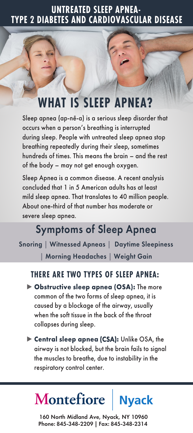## **UNTREATED SLEEP APNEA-TYPE 2 DIABETES AND CARDIOVASCULAR DISEASE**

# **WHAT IS SLEEP APNEA?**

Sleep apnea (ap-nē-a) is a serious sleep disorder that occurs when a person's breathing is interrupted during sleep. People with untreated sleep apnea stop breathing repeatedly during their sleep, sometimes hundreds of times. This means the brain – and the rest of the body – may not get enough oxygen.

Sleep Apnea is a common disease. A recent analysis concluded that 1 in 5 American adults has at least mild sleep apnea. That translates to 40 million people. About one-third of that number has moderate or severe sleep apnea.

# Symptoms of Sleep Apnea

Snoring **|** Witnessed Apneas **|** Daytime Sleepiness **|** Morning Headaches **|** Weight Gain

#### **THERE ARE TWO TYPES OF SLEEP APNEA:**

- **► Obstructive sleep apnea (OSA):** The more common of the two forms of sleep apnea, it is caused by a blockage of the airway, usually when the soft tissue in the back of the throat collapses during sleep.
- **► Central sleep apnea** (CSA)**:** Unlike OSA, the airway is not blocked, but the brain fails to signal the muscles to breathe, due to instability in the respiratory control center.

#### Montefiore **Nyack**

160 North Midland Ave, Nyack, NY 10960 Phone: 845-348-2209 | Fax: 845-348-2314